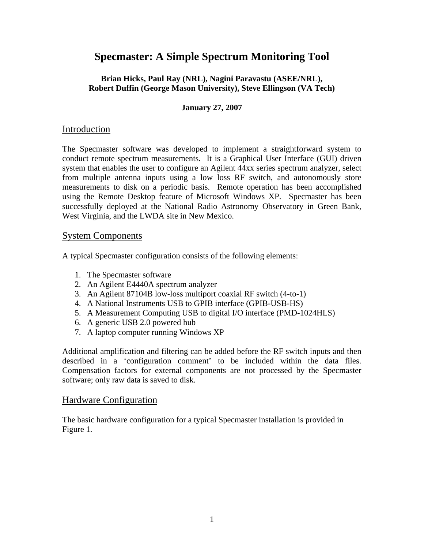# **Specmaster: A Simple Spectrum Monitoring Tool**

#### **Brian Hicks, Paul Ray (NRL), Nagini Paravastu (ASEE/NRL), Robert Duffin (George Mason University), Steve Ellingson (VA Tech)**

### **January 27, 2007**

## Introduction

The Specmaster software was developed to implement a straightforward system to conduct remote spectrum measurements. It is a Graphical User Interface (GUI) driven system that enables the user to configure an Agilent 44xx series spectrum analyzer, select from multiple antenna inputs using a low loss RF switch, and autonomously store measurements to disk on a periodic basis. Remote operation has been accomplished using the Remote Desktop feature of Microsoft Windows XP. Specmaster has been successfully deployed at the National Radio Astronomy Observatory in Green Bank, West Virginia, and the LWDA site in New Mexico.

## System Components

A typical Specmaster configuration consists of the following elements:

- 1. The Specmaster software
- 2. An Agilent E4440A spectrum analyzer
- 3. An Agilent 87104B low-loss multiport coaxial RF switch (4-to-1)
- 4. A National Instruments USB to GPIB interface (GPIB-USB-HS)
- 5. A Measurement Computing USB to digital I/O interface (PMD-1024HLS)
- 6. A generic USB 2.0 powered hub
- 7. A laptop computer running Windows XP

Additional amplification and filtering can be added before the RF switch inputs and then described in a 'configuration comment' to be included within the data files. Compensation factors for external components are not processed by the Specmaster software; only raw data is saved to disk.

## Hardware Configuration

The basic hardware configuration for a typical Specmaster installation is provided in Figure 1.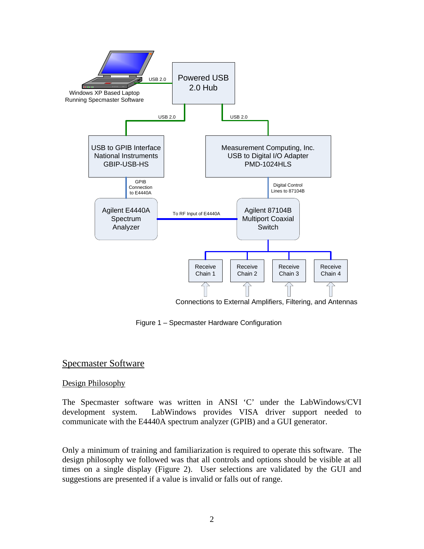

Connections to External Amplifiers, Filtering, and Antennas

Figure 1 – Specmaster Hardware Configuration

# Specmaster Software

#### Design Philosophy

The Specmaster software was written in ANSI 'C' under the LabWindows/CVI development system. LabWindows provides VISA driver support needed to communicate with the E4440A spectrum analyzer (GPIB) and a GUI generator.

Only a minimum of training and familiarization is required to operate this software. The design philosophy we followed was that all controls and options should be visible at all times on a single display (Figure 2). User selections are validated by the GUI and suggestions are presented if a value is invalid or falls out of range.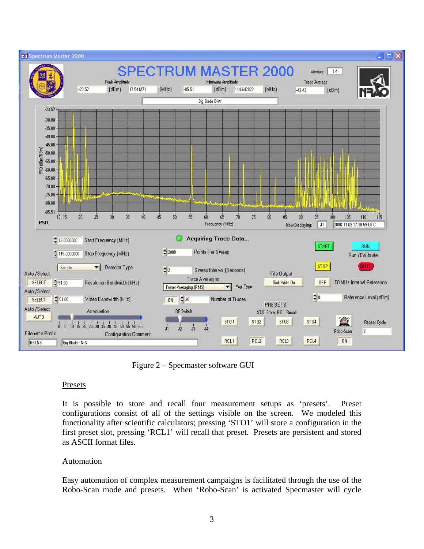

Figure 2 – Specmaster software GUI

#### **Presets**

It is possible to store and recall four measurement setups as 'presets'. Preset configurations consist of all of the settings visible on the screen. We modeled this functionality after scientific calculators; pressing 'STO1' will store a configuration in the first preset slot, pressing 'RCL1' will recall that preset. Presets are persistent and stored as ASCII format files.

## Automation

Easy automation of complex measurement campaigns is facilitated through the use of the Robo-Scan mode and presets. When 'Robo-Scan' is activated Specmaster will cycle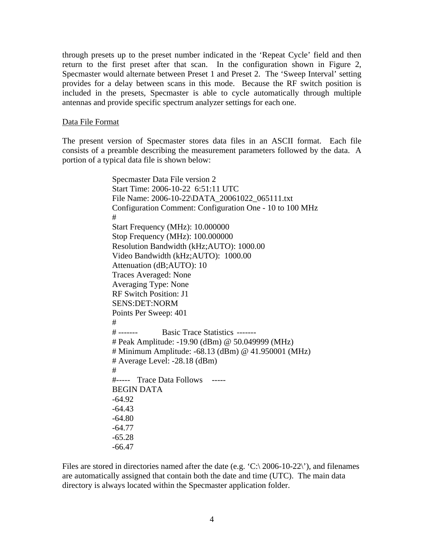through presets up to the preset number indicated in the 'Repeat Cycle' field and then return to the first preset after that scan. In the configuration shown in Figure 2, Specmaster would alternate between Preset 1 and Preset 2. The 'Sweep Interval' setting provides for a delay between scans in this mode. Because the RF switch position is included in the presets, Specmaster is able to cycle automatically through multiple antennas and provide specific spectrum analyzer settings for each one.

#### Data File Format

The present version of Specmaster stores data files in an ASCII format. Each file consists of a preamble describing the measurement parameters followed by the data. A portion of a typical data file is shown below:

> Specmaster Data File version 2 Start Time: 2006-10-22 6:51:11 UTC File Name: 2006-10-22\DATA\_20061022\_065111.txt Configuration Comment: Configuration One - 10 to 100 MHz # Start Frequency (MHz): 10.000000 Stop Frequency (MHz): 100.000000 Resolution Bandwidth (kHz;AUTO): 1000.00 Video Bandwidth (kHz;AUTO): 1000.00 Attenuation (dB;AUTO): 10 Traces Averaged: None Averaging Type: None RF Switch Position: J1 SENS:DET:NORM Points Per Sweep: 401 # # ------- Basic Trace Statistics ------- # Peak Amplitude: -19.90 (dBm) @ 50.049999 (MHz) # Minimum Amplitude: -68.13 (dBm) @ 41.950001 (MHz) # Average Level: -28.18 (dBm) # #----- Trace Data Follows ----- BEGIN DATA -64.92 -64.43 -64.80 -64.77 -65.28 -66.47

Files are stored in directories named after the date (e.g.  $\langle C \rangle$  2006-10-22 $\rangle$ ), and filenames are automatically assigned that contain both the date and time (UTC). The main data directory is always located within the Specmaster application folder.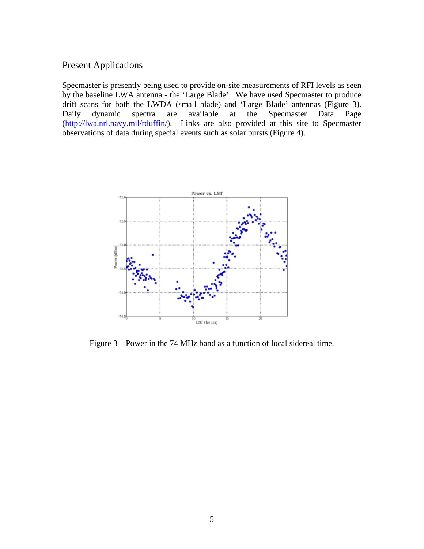## **Present Applications**

Specmaster is presently being used to provide on-site measurements of RFI levels as seen by the baseline LWA antenna - the 'Large Blade'. We have used Specmaster to produce drift scans for both the LWDA (small blade) and 'Large Blade' antennas (Figure 3). Daily dynamic spectra are available at the Specmaster Data Page (http://lwa.nrl.navy.mil/rduffin/). Links are also provided at this site to Specmaster observations of data during special events such as solar bursts (Figure 4).



Figure 3 – Power in the 74 MHz band as a function of local sidereal time.